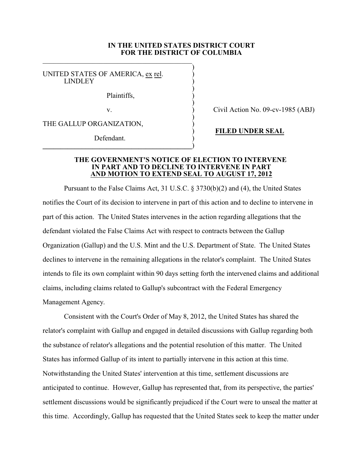## **IN THE UNITED STATES DISTRICT COURT FOR THE DISTRICT OF COLUMBIA**

)

)

)

)

UNITED STATES OF AMERICA, ex rel. **LINDLEY** 

Plaintiffs, )

THE GALLUP ORGANIZATION,

Defendant.

**\_\_\_\_\_\_\_\_\_\_\_\_\_\_\_\_\_\_\_\_\_\_\_\_\_\_\_\_\_\_\_\_\_\_\_\_\_\_\_\_\_\_**)

v. (a) Civil Action No. 09-cv-1985 (ABJ)

) **FILED UNDER SEAL**

## **THE GOVERNMENT'S NOTICE OF ELECTION TO INTERVENE IN PART AND TO DECLINE TO INTERVENE IN PART AND MOTION TO EXTEND SEAL TO AUGUST 17, 2012**

Pursuant to the False Claims Act, 31 U.S.C. § 3730(b)(2) and (4), the United States notifies the Court of its decision to intervene in part of this action and to decline to intervene in part of this action. The United States intervenes in the action regarding allegations that the defendant violated the False Claims Act with respect to contracts between the Gallup Organization (Gallup) and the U.S. Mint and the U.S. Department of State. The United States declines to intervene in the remaining allegations in the relator's complaint. The United States intends to file its own complaint within 90 days setting forth the intervened claims and additional claims, including claims related to Gallup's subcontract with the Federal Emergency Management Agency.

Consistent with the Court's Order of May 8, 2012, the United States has shared the relator's complaint with Gallup and engaged in detailed discussions with Gallup regarding both the substance of relator's allegations and the potential resolution of this matter. The United States has informed Gallup of its intent to partially intervene in this action at this time. Notwithstanding the United States' intervention at this time, settlement discussions are anticipated to continue. However, Gallup has represented that, from its perspective, the parties' settlement discussions would be significantly prejudiced if the Court were to unseal the matter at this time. Accordingly, Gallup has requested that the United States seek to keep the matter under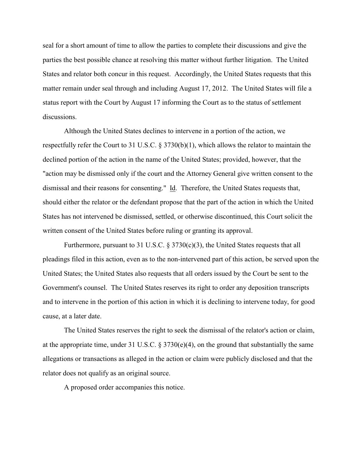seal for a short amount of time to allow the parties to complete their discussions and give the parties the best possible chance at resolving this matter without further litigation. The United States and relator both concur in this request. Accordingly, the United States requests that this matter remain under seal through and including August 17, 2012. The United States will file a status report with the Court by August 17 informing the Court as to the status of settlement discussions.

Although the United States declines to intervene in a portion of the action, we respectfully refer the Court to 31 U.S.C. § 3730(b)(1), which allows the relator to maintain the declined portion of the action in the name of the United States; provided, however, that the "action may be dismissed only if the court and the Attorney General give written consent to the dismissal and their reasons for consenting." Id. Therefore, the United States requests that, should either the relator or the defendant propose that the part of the action in which the United States has not intervened be dismissed, settled, or otherwise discontinued, this Court solicit the written consent of the United States before ruling or granting its approval.

Furthermore, pursuant to 31 U.S.C.  $\S 3730(c)(3)$ , the United States requests that all pleadings filed in this action, even as to the non-intervened part of this action, be served upon the United States; the United States also requests that all orders issued by the Court be sent to the Government's counsel. The United States reserves its right to order any deposition transcripts and to intervene in the portion of this action in which it is declining to intervene today, for good cause, at a later date.

The United States reserves the right to seek the dismissal of the relator's action or claim, at the appropriate time, under 31 U.S.C.  $\S 3730(e)(4)$ , on the ground that substantially the same allegations or transactions as alleged in the action or claim were publicly disclosed and that the relator does not qualify as an original source.

A proposed order accompanies this notice.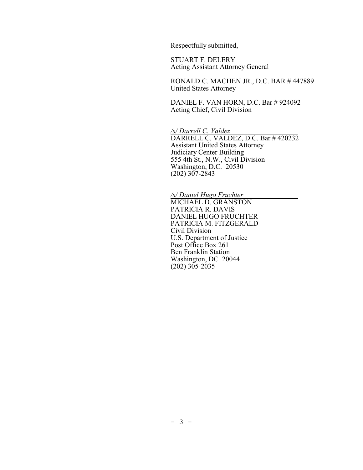Respectfully submitted,

STUART F. DELERY Acting Assistant Attorney General

RONALD C. MACHEN JR., D.C. BAR # 447889 United States Attorney

DANIEL F. VAN HORN, D.C. Bar # 924092 Acting Chief, Civil Division

*/s/ Darrell C. Valdez*  DARRELL C. VALDEZ, D.C. Bar # 420232 Assistant United States Attorney Judiciary Center Building 555 4th St., N.W., Civil Division Washington, D.C. 20530 (202) 307-2843

*/s/ Daniel Hugo Fruchter* MICHAEL D. GRANSTON PATRICIA R. DAVIS DANIEL HUGO FRUCHTER PATRICIA M. FITZGERALD Civil Division U.S. Department of Justice Post Office Box 261 Ben Franklin Station Washington, DC 20044 (202) 305-2035